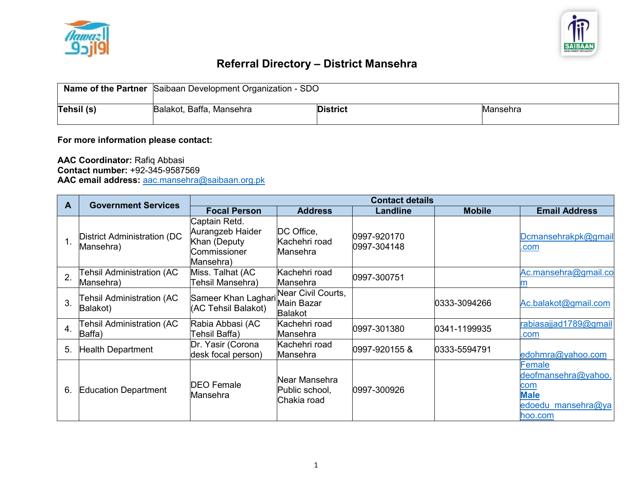



## **Referral Directory – District Mansehra**

|            | <b>Name of the Partner</b> Saibaan Development Organization - SDO |                 |                 |  |  |
|------------|-------------------------------------------------------------------|-----------------|-----------------|--|--|
| Tehsil (s) | Balakot, Baffa, Mansehra                                          | <b>District</b> | <b>Mansehra</b> |  |  |

## **For more information please contact:**

**AAC Coordinator:** Rafiq Abbasi **Contact number:** +92-345-9587569 **AAC email address:** [aac.mansehra@saibaan.org.pk](mailto:aac.mansehra@saibaan.org.pk)

|                | <b>Government Services</b>                      | <b>Contact details</b>                                                         |                                                    |                            |               |                                                                                      |
|----------------|-------------------------------------------------|--------------------------------------------------------------------------------|----------------------------------------------------|----------------------------|---------------|--------------------------------------------------------------------------------------|
| А              |                                                 | <b>Focal Person</b>                                                            | <b>Address</b>                                     | <b>Landline</b>            | <b>Mobile</b> | <b>Email Address</b>                                                                 |
|                | <b>District Administration (DC</b><br>Mansehra) | Captain Retd.<br>Aurangzeb Haider<br>Khan (Deputy<br>Commissioner<br>Mansehra) | DC Office,<br>Kachehri road<br>Mansehra            | 0997-920170<br>0997-304148 |               | Dcmansehrakpk@gmail<br>.com                                                          |
| $\overline{2}$ | Tehsil Administration (AC<br>Mansehra)          | Miss. Talhat (AC<br>Tehsil Mansehra)                                           | Kachehri road<br>Mansehra                          | 0997-300751                |               | Ac.mansehra@gmail.co                                                                 |
| 3.             | Tehsil Administration (AC<br>Balakot)           | Sameer Khan Laghari<br>(AC Tehsil Balakot)                                     | Near Civil Courts,<br>Main Bazar<br><b>Balakot</b> |                            | 0333-3094266  | Ac.balakot@gmail.com                                                                 |
| 4.             | Tehsil Administration (AC<br>Baffa)             | Rabia Abbasi (AC<br>Tehsil Baffa)                                              | Kachehri road<br>Mansehra                          | 0997-301380                | 0341-1199935  | rabiasajjad1789@gmail<br>.com                                                        |
| 5.             | <b>Health Department</b>                        | Dr. Yasir (Corona<br>desk focal person)                                        | Kachehri road<br>Mansehra                          | 0997-920155&               | 0333-5594791  | edohmra@yahoo.com                                                                    |
| 6.             | <b>Education Department</b>                     | <b>DEO</b> Female<br>Mansehra                                                  | Near Mansehra<br>Public school,<br>Chakia road     | 10997-300926               |               | Female<br>deofmansehra@yahoo.<br>com<br><b>Male</b><br>edoedu mansehra@ya<br>hoo.com |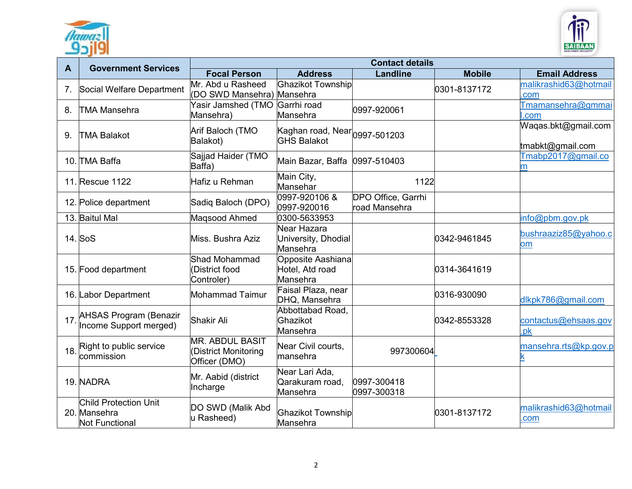



|              |                                                                       | <b>Contact details</b>                                         |                                                            |                                     |               |                                         |  |
|--------------|-----------------------------------------------------------------------|----------------------------------------------------------------|------------------------------------------------------------|-------------------------------------|---------------|-----------------------------------------|--|
| $\mathbf{A}$ | <b>Government Services</b>                                            | <b>Focal Person</b>                                            | <b>Address</b>                                             | <b>Landline</b>                     | <b>Mobile</b> | <b>Email Address</b>                    |  |
| 7.           | Social Welfare Department                                             | Mr. Abd u Rasheed<br>(DO SWD Mansehra) Mansehra                | <b>Ghazikot Township</b>                                   |                                     | 0301-8137172  | malikrashid63@hotmail<br>.com           |  |
| 8.           | <b>TMA Mansehra</b>                                                   | Yasir Jamshed (TMO Garrhi road<br>Mansehra)                    | Mansehra                                                   | 0997-920061                         |               | Tmamansehra@gmmai<br>.com               |  |
| 9.           | <b>TMA Balakot</b>                                                    | Arif Baloch (TMO<br>Balakot)                                   | Kaghan road, Near $ _{0997}$ -501203<br><b>GHS Balakot</b> |                                     |               | Waqas.bkt@gmail.com<br>tmabkt@gmail.com |  |
|              | 10. TMA Baffa                                                         | Sajjad Haider (TMO<br>Baffa)                                   | Main Bazar, Baffa 0997-510403                              |                                     |               | Tmabp2017@gmail.co<br>m                 |  |
|              | 11. Rescue 1122                                                       | Hafiz u Rehman                                                 | Main City,<br>Mansehar                                     | 1122                                |               |                                         |  |
|              | 12. Police department                                                 | Sadiq Baloch (DPO)                                             | 0997-920106 &<br>0997-920016                               | DPO Office, Garrhi<br>road Mansehra |               |                                         |  |
|              | 13. Baitul Mal                                                        | Maqsood Ahmed                                                  | 0300-5633953                                               |                                     |               | info@pbm.gov.pk                         |  |
|              | 14. SoS                                                               | Miss. Bushra Aziz                                              | Near Hazara<br>University, Dhodial<br>Mansehra             |                                     | 0342-9461845  | bushraaziz85@yahoo.c<br>om              |  |
|              | 15. Food department                                                   | <b>Shad Mohammad</b><br>District food<br>Controler)            | Opposite Aashiana<br>Hotel, Atd road<br>Mansehra           |                                     | 0314-3641619  |                                         |  |
|              | 16. Labor Department                                                  | Mohammad Taimur                                                | Faisal Plaza, near<br>DHQ, Mansehra                        |                                     | 0316-930090   | dlkpk786@gmail.com                      |  |
| 17.          | <b>AHSAS Program (Benazir</b><br>Income Support merged)               | <b>Shakir Ali</b>                                              | Abbottabad Road,<br>Ghazikot<br>Mansehra                   |                                     | 0342-8553328  | contactus@ehsaas.gov<br>.pk             |  |
| 18.          | Right to public service<br>commission                                 | <b>MR. ABDUL BASIT</b><br>District Monitoring<br>Officer (DMO) | Near Civil courts,<br>mansehra                             | 997300604                           |               | mansehra.rts@kp.gov.p                   |  |
|              | 19. NADRA                                                             | Mr. Aabid (district<br>Incharge                                | Near Lari Ada,<br>Qarakuram road,<br>Mansehra              | 0997-300418<br>0997-300318          |               |                                         |  |
|              | <b>Child Protection Unit</b><br>20. Mansehra<br><b>Not Functional</b> | DO SWD (Malik Abd<br>u Rasheed)                                | <b>Ghazikot Township</b><br>Mansehra                       |                                     | 0301-8137172  | malikrashid63@hotmail<br>.com           |  |